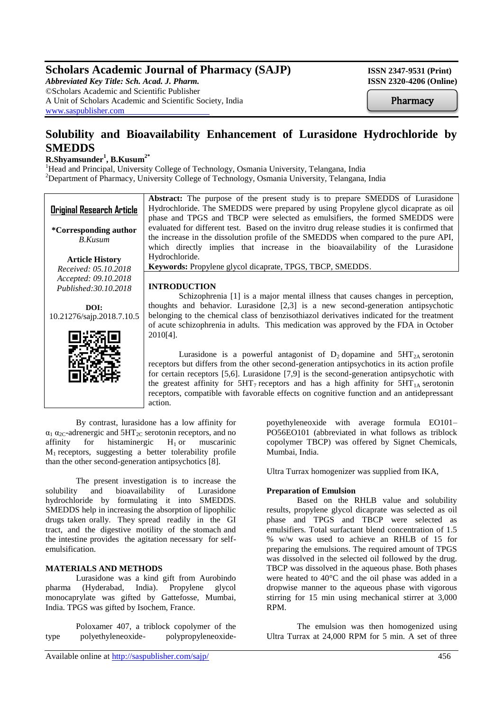# **Scholars Academic Journal of Pharmacy (SAJP) ISSN 2347-9531 (Print)**

*Abbreviated Key Title: Sch. Acad. J. Pharm.* **ISSN 2320-4206 (Online)** ©Scholars Academic and Scientific Publisher A Unit of Scholars Academic and Scientific Society, India [www.saspublisher.com](http://www.saspublisher.com/)

**Pharmacy** 

# **Solubility and Bioavailability Enhancement of Lurasidone Hydrochloride by SMEDDS**

## **R.Shyamsunder<sup>1</sup> , B.Kusum2\***

<sup>1</sup>Head and Principal, University College of Technology, Osmania University, Telangana, India <sup>2</sup>Department of Pharmacy, University College of Technology, Osmania University, Telangana, India

| <b>Original Research Article</b>        | <b>Abstract:</b> The purpose of the present study is to prepare SMEDDS of Lurasidone<br>Hydrochloride. The SMEDDS were prepared by using Propylene glycol dicaprate as oil<br>phase and TPGS and TBCP were selected as emulsifiers, the formed SMEDDS were |
|-----------------------------------------|------------------------------------------------------------------------------------------------------------------------------------------------------------------------------------------------------------------------------------------------------------|
| *Corresponding author<br><b>B.Kusum</b> | evaluated for different test. Based on the invitro drug release studies it is confirmed that<br>the increase in the dissolution profile of the SMEDDS when compared to the pure API,                                                                       |
|                                         | which directly implies that increase in the bioavailability of the Lurasidone                                                                                                                                                                              |
| <b>Article History</b>                  | Hydrochloride.                                                                                                                                                                                                                                             |
| Received: 05.10.2018                    | Keywords: Propylene glycol dicaprate, TPGS, TBCP, SMEDDS.                                                                                                                                                                                                  |
| Accepted: 09.10.2018                    |                                                                                                                                                                                                                                                            |
| Published: 30.10.2018                   | <b>INTRODUCTION</b>                                                                                                                                                                                                                                        |
|                                         | Schizophrenia [1] is a major mental illness that causes changes in perception,                                                                                                                                                                             |
| DOI:                                    | thoughts and behavior. Lurasidone $[2,3]$ is a new second-generation antipsychotic                                                                                                                                                                         |
| 10.21276/sajp.2018.7.10.5               | belonging to the chemical class of benzisothiazol derivatives indicated for the treatment                                                                                                                                                                  |
|                                         | of acute schizophrenia in adults. This medication was approved by the FDA in October                                                                                                                                                                       |
|                                         | $2010[4]$ .                                                                                                                                                                                                                                                |
|                                         | Lurasidone is a powerful antagonist of $D_2$ dopamine and $5HT_{2A}$ serotonin                                                                                                                                                                             |
|                                         | receptors but differs from the other second-generation antipsychotics in its action profile                                                                                                                                                                |
|                                         | for certain receptors $[5,6]$ . Lurasidone $[7,9]$ is the second-generation antipsychotic with                                                                                                                                                             |
|                                         | the greatest affinity for $5HT_7$ receptors and has a high affinity for $5HT_{1A}$ serotonin                                                                                                                                                               |
|                                         |                                                                                                                                                                                                                                                            |
|                                         | receptors, compatible with favorable effects on cognitive function and an antidepressant                                                                                                                                                                   |

By contrast, lurasidone has a low affinity for  $\alpha_1 \alpha_{2C}$ -adrenergic and 5HT<sub>2C</sub> serotonin receptors, and no<br>affinity for histaminergic H<sub>1</sub> or muscarinic affinity for histaminergic  $M_1$  receptors, suggesting a better tolerability profile than the other second-generation antipsychotics [8].

action.

The present investigation is to increase the solubility and bioavailability of Lurasidone hydrochloride by formulating it into SMEDDS. SMEDDS help in increasing the absorption of lipophilic drugs taken orally. They spread readily in the GI tract, and the digestive motility of the stomach and the intestine provides the agitation necessary for selfemulsification.

#### **MATERIALS AND METHODS**

Lurasidone was a kind gift from Aurobindo pharma (Hyderabad, India). Propylene glycol monocaprylate was gifted by Gattefosse, Mumbai, India. TPGS was gifted by Isochem, France.

Poloxamer 407, a triblock copolymer of the type polyethyleneoxide- polypropyleneoxidepoyethyleneoxide with average formula EO101– PO56EO101 (abbreviated in what follows as triblock copolymer TBCP) was offered by Signet Chemicals, Mumbai, India.

Ultra Turrax homogenizer was supplied from IKA,

#### **Preparation of Emulsion**

Based on the RHLB value and solubility results, propylene glycol dicaprate was selected as oil phase and TPGS and TBCP were selected as emulsifiers. Total surfactant blend concentration of 1.5 % w/w was used to achieve an RHLB of 15 for preparing the emulsions. The required amount of TPGS was dissolved in the selected oil followed by the drug. TBCP was dissolved in the aqueous phase. Both phases were heated to 40°C and the oil phase was added in a dropwise manner to the aqueous phase with vigorous stirring for 15 min using mechanical stirrer at 3,000 RPM.

The emulsion was then homogenized using Ultra Turrax at 24,000 RPM for 5 min. A set of three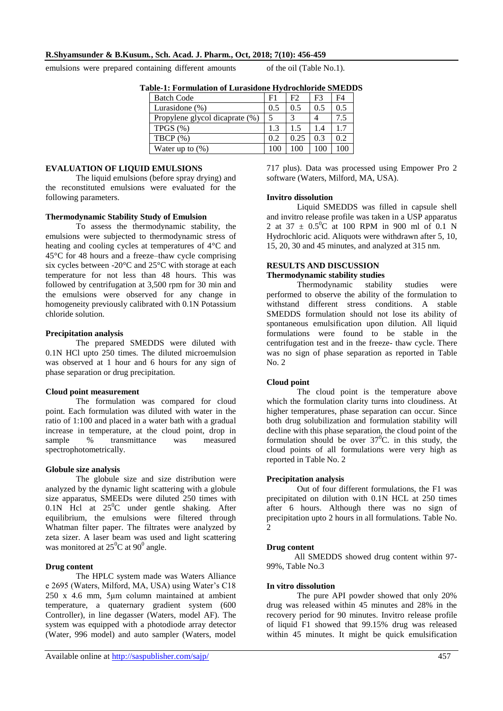## **R.Shyamsunder & B.Kusum***.***, Sch. Acad. J. Pharm., Oct, 2018; 7(10): 456-459**

emulsions were prepared containing different amounts of the oil (Table No.1).

**Invitro dissolution** 

| 016-1. Foi mulation of Eul asidone Hydrochiofide Sivillo |     |      |     |     |
|----------------------------------------------------------|-----|------|-----|-----|
| <b>Batch Code</b>                                        | F1  | F2.  | F3  | F4  |
| Lurasidone $(\%)$                                        | 0.5 | 0.5  | 0.5 | 0.5 |
| Propylene glycol dicaprate (%)                           | 5   | 3    |     | 7.5 |
| TPGS(%)                                                  | 1.3 | 1.5  | 1.4 | 1.7 |
| TBCP $(\%)$                                              | 0.2 | 0.25 | 0.3 | 0.2 |
| Water up to $(\%)$                                       | 100 | 100  | 100 | 100 |
|                                                          |     |      |     |     |

**Table-1: Formulation of Lurasidone Hydrochloride SMEDDS**

## **EVALUATION OF LIQUID EMULSIONS**

The liquid emulsions (before spray drying) and the reconstituted emulsions were evaluated for the following parameters.

#### **Thermodynamic Stability Study of Emulsion**

To assess the thermodynamic stability, the emulsions were subjected to thermodynamic stress of heating and cooling cycles at temperatures of 4°C and 45°C for 48 hours and a freeze–thaw cycle comprising six cycles between -20°C and 25°C with storage at each temperature for not less than 48 hours. This was followed by centrifugation at 3,500 rpm for 30 min and the emulsions were observed for any change in homogeneity previously calibrated with 0.1N Potassium chloride solution.

#### **Precipitation analysis**

The prepared SMEDDS were diluted with 0.1N HCl upto 250 times. The diluted microemulsion was observed at 1 hour and 6 hours for any sign of phase separation or drug precipitation.

#### **Cloud point measurement**

The formulation was compared for cloud point. Each formulation was diluted with water in the ratio of 1:100 and placed in a water bath with a gradual increase in temperature, at the cloud point, drop in sample % transmittance was measured spectrophotometrically.

#### **Globule size analysis**

The globule size and size distribution were analyzed by the dynamic light scattering with a globule size apparatus, SMEEDs were diluted 250 times with 0.1N Hcl at  $25^{\circ}$ C under gentle shaking. After equilibrium, the emulsions were filtered through Whatman filter paper. The filtrates were analyzed by zeta sizer. A laser beam was used and light scattering was monitored at  $25^{\circ}$ C at 90<sup>°</sup> angle.

#### **Drug content**

The HPLC system made was Waters Alliance e 2695 (Waters, Milford, MA, USA) using Water's C18 250 x 4.6 mm, 5μm column maintained at ambient temperature, a quaternary gradient system (600 Controller), in line degasser (Waters, model AF). The system was equipped with a photodiode array detector (Water, 996 model) and auto sampler (Waters, model

Thermodynamic stability studies were performed to observe the ability of the formulation to

**RESULTS AND DISCUSSION Thermodynamic stability studies** 

withstand different stress conditions. A stable SMEDDS formulation should not lose its ability of spontaneous emulsification upon dilution. All liquid formulations were found to be stable in the centrifugation test and in the freeze- thaw cycle. There was no sign of phase separation as reported in Table No. 2

717 plus). Data was processed using Empower Pro 2

and invitro release profile was taken in a USP apparatus 2 at 37  $\pm$  0.5<sup>0</sup>C at 100 RPM in 900 ml of 0.1 N Hydrochloric acid. Aliquots were withdrawn after 5, 10, 15, 20, 30 and 45 minutes, and analyzed at 315 nm.

Liquid SMEDDS was filled in capsule shell

software (Waters, Milford, MA, USA).

#### **Cloud point**

The cloud point is the temperature above which the formulation clarity turns into cloudiness. At higher temperatures, phase separation can occur. Since both drug solubilization and formulation stability will decline with this phase separation, the cloud point of the formulation should be over  $37^{\circ}$ C. in this study, the cloud points of all formulations were very high as reported in Table No. 2

#### **Precipitation analysis**

Out of four different formulations, the F1 was precipitated on dilution with 0.1N HCL at 250 times after 6 hours. Although there was no sign of precipitation upto 2 hours in all formulations. Table No. 2

#### **Drug content**

 All SMEDDS showed drug content within 97- 99%, Table No.3

### **In vitro dissolution**

The pure API powder showed that only 20% drug was released within 45 minutes and 28% in the recovery period for 90 minutes. Invitro release profile of liquid F1 showed that 99.15% drug was released within 45 minutes. It might be quick emulsification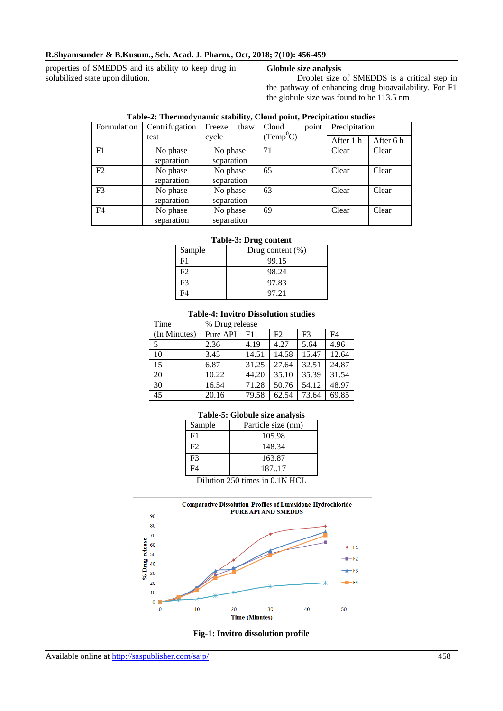#### **R.Shyamsunder & B.Kusum***.***, Sch. Acad. J. Pharm., Oct, 2018; 7(10): 456-459**

properties of SMEDDS and its ability to keep drug in solubilized state upon dilution.

### **Globule size analysis**

Droplet size of SMEDDS is a critical step in the pathway of enhancing drug bioavailability. For F1 the globule size was found to be 113.5 nm

| Formulation    | Centrifugation | Freeze<br>thaw | point<br>Cloud | Precipitation |           |
|----------------|----------------|----------------|----------------|---------------|-----------|
|                | test           | cycle          | $(Temp^0C)$    | After 1 h     | After 6 h |
| F <sub>1</sub> | No phase       | No phase       | 71             | Clear         | Clear     |
|                | separation     | separation     |                |               |           |
| F2             | No phase       | No phase       | 65             | Clear         | Clear     |
|                | separation     | separation     |                |               |           |
| F <sub>3</sub> | No phase       | No phase       | 63             | Clear         | Clear     |
|                | separation     | separation     |                |               |           |
| F <sub>4</sub> | No phase       | No phase       | 69             | Clear         | Clear     |
|                | separation     | separation     |                |               |           |

### **Table-2: Thermodynamic stability, Cloud point, Precipitation studies**

#### **Table-3: Drug content**

| Sample | Drug content $(\%)$ |
|--------|---------------------|
| FТ     | 99.15               |
| F2     | 98.24               |
| F3     | 97.83               |
|        | 97.21               |

#### **Table-4: Invitro Dissolution studies**

| Time         | % Drug release |       |       |                |       |
|--------------|----------------|-------|-------|----------------|-------|
| (In Minutes) | Pure API       | F1    | F2    | F <sub>3</sub> | F4    |
| 5            | 2.36           | 4.19  | 4.27  | 5.64           | 4.96  |
| 10           | 3.45           | 14.51 | 14.58 | 15.47          | 12.64 |
| 15           | 6.87           | 31.25 | 27.64 | 32.51          | 24.87 |
| 20           | 10.22          | 44.20 | 35.10 | 35.39          | 31.54 |
| 30           | 16.54          | 71.28 | 50.76 | 54.12          | 48.97 |
| 45           | 20.16          | 79.58 | 62.54 | 73.64          | 69.85 |

#### **Table-5: Globule size analysis**

| Sample                     | Particle size (nm) |  |
|----------------------------|--------------------|--|
| F <sub>1</sub>             | 105.98             |  |
| F2                         | 148.34             |  |
| F <sup>3</sup>             | 163.87             |  |
| F <sub>4</sub>             | 187.17             |  |
| D:1: 250 :: : 0. 1 N I LOI |                    |  |

Dilution 250 times in 0.1N HCL